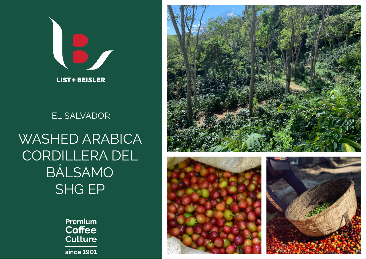

## EL SALVADOR

## WASHED ARABICA CORDILLERA DEL BÁLSAMO SHG EP

Premium **Coffee Culture** since 1901